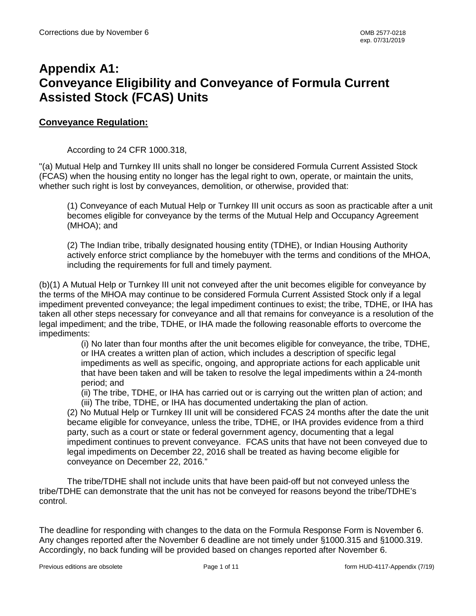# **Appendix A1: Conveyance Eligibility and Conveyance of Formula Current Assisted Stock (FCAS) Units**

### **Conveyance Regulation:**

According to 24 CFR 1000.318,

"(a) Mutual Help and Turnkey III units shall no longer be considered Formula Current Assisted Stock (FCAS) when the housing entity no longer has the legal right to own, operate, or maintain the units, whether such right is lost by conveyances, demolition, or otherwise, provided that:

(1) Conveyance of each Mutual Help or Turnkey III unit occurs as soon as practicable after a unit becomes eligible for conveyance by the terms of the Mutual Help and Occupancy Agreement (MHOA); and

(2) The Indian tribe, tribally designated housing entity (TDHE), or Indian Housing Authority actively enforce strict compliance by the homebuyer with the terms and conditions of the MHOA, including the requirements for full and timely payment.

(b)(1) A Mutual Help or Turnkey III unit not conveyed after the unit becomes eligible for conveyance by the terms of the MHOA may continue to be considered Formula Current Assisted Stock only if a legal impediment prevented conveyance; the legal impediment continues to exist; the tribe, TDHE, or IHA has taken all other steps necessary for conveyance and all that remains for conveyance is a resolution of the legal impediment; and the tribe, TDHE, or IHA made the following reasonable efforts to overcome the impediments:

> (i) No later than four months after the unit becomes eligible for conveyance, the tribe, TDHE, or IHA creates a written plan of action, which includes a description of specific legal impediments as well as specific, ongoing, and appropriate actions for each applicable unit that have been taken and will be taken to resolve the legal impediments within a 24-month period; and

(ii) The tribe, TDHE, or IHA has carried out or is carrying out the written plan of action; and (iii) The tribe, TDHE, or IHA has documented undertaking the plan of action.

(2) No Mutual Help or Turnkey III unit will be considered FCAS 24 months after the date the unit became eligible for conveyance, unless the tribe, TDHE, or IHA provides evidence from a third party, such as a court or state or federal government agency, documenting that a legal impediment continues to prevent conveyance. FCAS units that have not been conveyed due to legal impediments on December 22, 2016 shall be treated as having become eligible for conveyance on December 22, 2016."

The tribe/TDHE shall not include units that have been paid-off but not conveyed unless the tribe/TDHE can demonstrate that the unit has not be conveyed for reasons beyond the tribe/TDHE's control.

The deadline for responding with changes to the data on the Formula Response Form is November 6. Any changes reported after the November 6 deadline are not timely under §1000.315 and §1000.319. Accordingly, no back funding will be provided based on changes reported after November 6.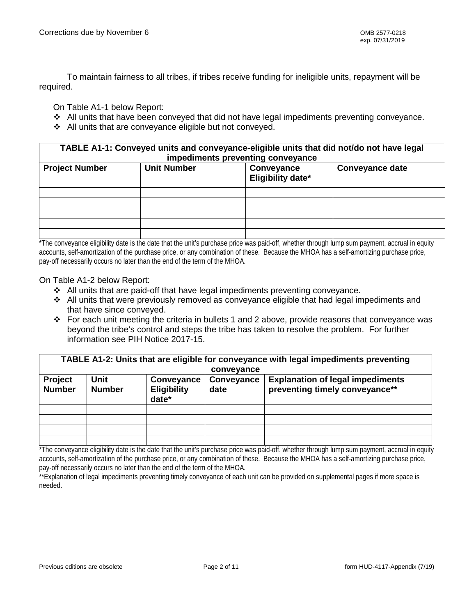To maintain fairness to all tribes, if tribes receive funding for ineligible units, repayment will be required.

On Table A1-1 below Report:

- All units that have been conveyed that did not have legal impediments preventing conveyance.
- All units that are conveyance eligible but not conveyed.

**TABLE A1-1: Conveyed units and conveyance-eligible units that did not/do not have legal impediments preventing conveyance**

| m                     |                    |                                 |                        |  |  |  |
|-----------------------|--------------------|---------------------------------|------------------------|--|--|--|
| <b>Project Number</b> | <b>Unit Number</b> | Conveyance<br>Eligibility date* | <b>Conveyance date</b> |  |  |  |
|                       |                    |                                 |                        |  |  |  |
|                       |                    |                                 |                        |  |  |  |
|                       |                    |                                 |                        |  |  |  |
|                       |                    |                                 |                        |  |  |  |
|                       |                    |                                 |                        |  |  |  |

\*The conveyance eligibility date is the date that the unit's purchase price was paid-off, whether through lump sum payment, accrual in equity accounts, self-amortization of the purchase price, or any combination of these. Because the MHOA has a self-amortizing purchase price, pay-off necessarily occurs no later than the end of the term of the MHOA.

On Table A1-2 below Report:

- All units that are paid-off that have legal impediments preventing conveyance.
- $\div$  All units that were previously removed as conveyance eligible that had legal impediments and that have since conveyed.
- For each unit meeting the criteria in bullets 1 and 2 above, provide reasons that conveyance was beyond the tribe's control and steps the tribe has taken to resolve the problem. For further information see PIH Notice 2017-15.

|                | TABLE A1-2: Units that are eligible for conveyance with legal impediments preventing |                    |            |                                         |  |  |  |  |
|----------------|--------------------------------------------------------------------------------------|--------------------|------------|-----------------------------------------|--|--|--|--|
|                |                                                                                      |                    | conveyance |                                         |  |  |  |  |
| <b>Project</b> | Unit                                                                                 | Conveyance         | Conveyance | <b>Explanation of legal impediments</b> |  |  |  |  |
| <b>Number</b>  | <b>Number</b>                                                                        | <b>Eligibility</b> | date       | preventing timely conveyance**          |  |  |  |  |
|                |                                                                                      | date*              |            |                                         |  |  |  |  |
|                |                                                                                      |                    |            |                                         |  |  |  |  |
|                |                                                                                      |                    |            |                                         |  |  |  |  |
|                |                                                                                      |                    |            |                                         |  |  |  |  |
|                |                                                                                      |                    |            |                                         |  |  |  |  |

\*The conveyance eligibility date is the date that the unit's purchase price was paid-off, whether through lump sum payment, accrual in equity accounts, self-amortization of the purchase price, or any combination of these. Because the MHOA has a self-amortizing purchase price, pay-off necessarily occurs no later than the end of the term of the MHOA.

\*\*Explanation of legal impediments preventing timely conveyance of each unit can be provided on supplemental pages if more space is needed.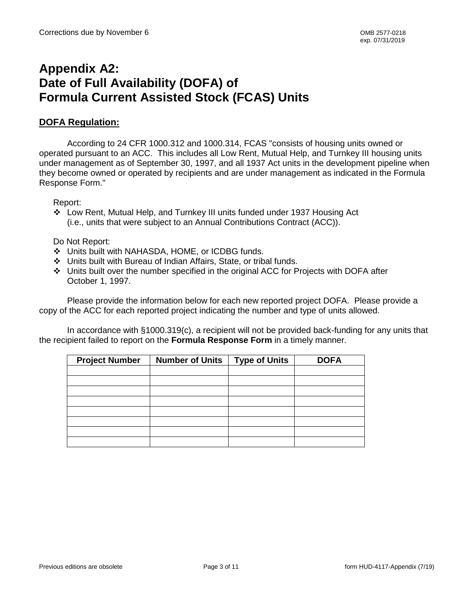## **Appendix A2: Date of Full Availability (DOFA) of Formula Current Assisted Stock (FCAS) Units**

### **DOFA Regulation:**

According to 24 CFR 1000.312 and 1000.314, FCAS "consists of housing units owned or operated pursuant to an ACC. This includes all Low Rent, Mutual Help, and Turnkey III housing units under management as of September 30, 1997, and all 1937 Act units in the development pipeline when they become owned or operated by recipients and are under management as indicated in the Formula Response Form."

Report:

 Low Rent, Mutual Help, and Turnkey III units funded under 1937 Housing Act (i.e., units that were subject to an Annual Contributions Contract (ACC)).

Do Not Report:

- Units built with NAHASDA, HOME, or ICDBG funds.
- Units built with Bureau of Indian Affairs, State, or tribal funds.
- Units built over the number specified in the original ACC for Projects with DOFA after October 1, 1997.

Please provide the information below for each new reported project DOFA. Please provide a copy of the ACC for each reported project indicating the number and type of units allowed.

In accordance with §1000.319(c), a recipient will not be provided back-funding for any units that the recipient failed to report on the **Formula Response Form** in a timely manner.

| <b>Project Number</b> | <b>Number of Units</b> | <b>Type of Units</b> | <b>DOFA</b> |
|-----------------------|------------------------|----------------------|-------------|
|                       |                        |                      |             |
|                       |                        |                      |             |
|                       |                        |                      |             |
|                       |                        |                      |             |
|                       |                        |                      |             |
|                       |                        |                      |             |
|                       |                        |                      |             |
|                       |                        |                      |             |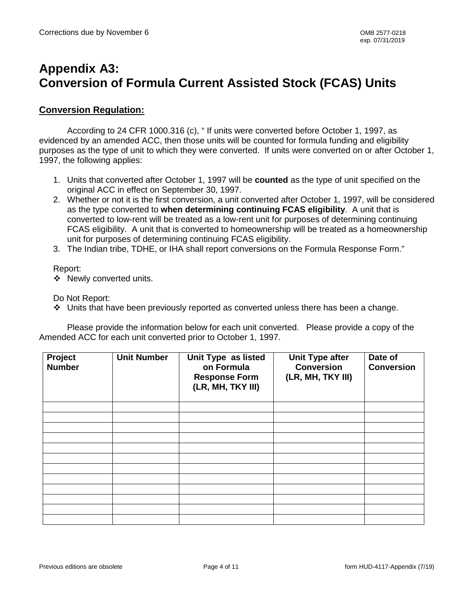# **Appendix A3: Conversion of Formula Current Assisted Stock (FCAS) Units**

#### **Conversion Regulation:**

According to 24 CFR 1000.316 (c), " If units were converted before October 1, 1997, as evidenced by an amended ACC, then those units will be counted for formula funding and eligibility purposes as the type of unit to which they were converted. If units were converted on or after October 1, 1997, the following applies:

- 1. Units that converted after October 1, 1997 will be **counted** as the type of unit specified on the original ACC in effect on September 30, 1997.
- 2. Whether or not it is the first conversion, a unit converted after October 1, 1997, will be considered as the type converted to **when determining continuing FCAS eligibility**. A unit that is converted to low-rent will be treated as a low-rent unit for purposes of determining continuing FCAS eligibility. A unit that is converted to homeownership will be treated as a homeownership unit for purposes of determining continuing FCAS eligibility.
- 3. The Indian tribe, TDHE, or IHA shall report conversions on the Formula Response Form."

#### Report:

❖ Newly converted units.

Do Not Report:

Units that have been previously reported as converted unless there has been a change.

Please provide the information below for each unit converted. Please provide a copy of the Amended ACC for each unit converted prior to October 1, 1997.

| Project<br><b>Number</b> | <b>Unit Number</b> | Unit Type as listed<br>on Formula<br><b>Response Form</b><br>(LR, MH, TKY III) | <b>Unit Type after</b><br><b>Conversion</b><br>(LR, MH, TKY III) | Date of<br><b>Conversion</b> |
|--------------------------|--------------------|--------------------------------------------------------------------------------|------------------------------------------------------------------|------------------------------|
|                          |                    |                                                                                |                                                                  |                              |
|                          |                    |                                                                                |                                                                  |                              |
|                          |                    |                                                                                |                                                                  |                              |
|                          |                    |                                                                                |                                                                  |                              |
|                          |                    |                                                                                |                                                                  |                              |
|                          |                    |                                                                                |                                                                  |                              |
|                          |                    |                                                                                |                                                                  |                              |
|                          |                    |                                                                                |                                                                  |                              |
|                          |                    |                                                                                |                                                                  |                              |
|                          |                    |                                                                                |                                                                  |                              |
|                          |                    |                                                                                |                                                                  |                              |
|                          |                    |                                                                                |                                                                  |                              |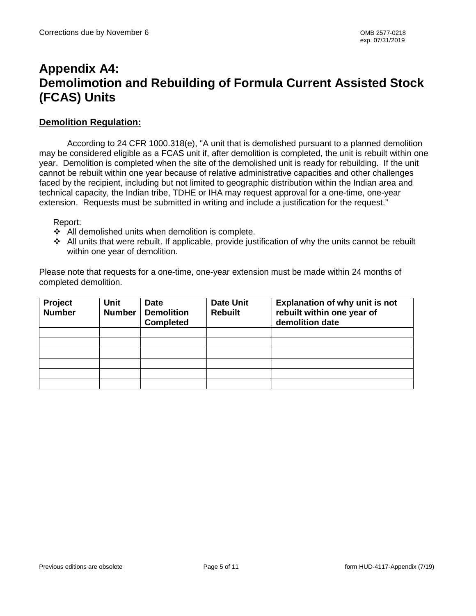# **Appendix A4: Demolimotion and Rebuilding of Formula Current Assisted Stock (FCAS) Units**

#### **Demolition Regulation:**

According to 24 CFR 1000.318(e), "A unit that is demolished pursuant to a planned demolition may be considered eligible as a FCAS unit if, after demolition is completed, the unit is rebuilt within one year. Demolition is completed when the site of the demolished unit is ready for rebuilding. If the unit cannot be rebuilt within one year because of relative administrative capacities and other challenges faced by the recipient, including but not limited to geographic distribution within the Indian area and technical capacity, the Indian tribe, TDHE or IHA may request approval for a one-time, one-year extension. Requests must be submitted in writing and include a justification for the request."

Report:

- $\div$  All demolished units when demolition is complete.
- All units that were rebuilt. If applicable, provide justification of why the units cannot be rebuilt within one year of demolition.

Please note that requests for a one-time, one-year extension must be made within 24 months of completed demolition.

| Project<br><b>Number</b> | <b>Unit</b><br><b>Number</b> | <b>Date</b><br><b>Demolition</b><br><b>Completed</b> | <b>Date Unit</b><br><b>Rebuilt</b> | <b>Explanation of why unit is not</b><br>rebuilt within one year of<br>demolition date |
|--------------------------|------------------------------|------------------------------------------------------|------------------------------------|----------------------------------------------------------------------------------------|
|                          |                              |                                                      |                                    |                                                                                        |
|                          |                              |                                                      |                                    |                                                                                        |
|                          |                              |                                                      |                                    |                                                                                        |
|                          |                              |                                                      |                                    |                                                                                        |
|                          |                              |                                                      |                                    |                                                                                        |
|                          |                              |                                                      |                                    |                                                                                        |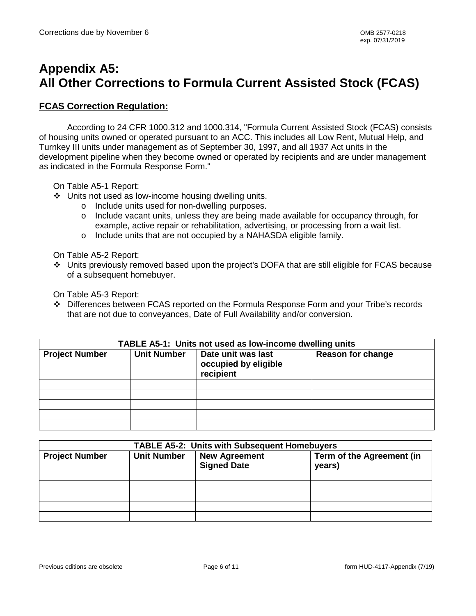# **Appendix A5: All Other Corrections to Formula Current Assisted Stock (FCAS)**

#### **FCAS Correction Regulation:**

According to 24 CFR 1000.312 and 1000.314, "Formula Current Assisted Stock (FCAS) consists of housing units owned or operated pursuant to an ACC. This includes all Low Rent, Mutual Help, and Turnkey III units under management as of September 30, 1997, and all 1937 Act units in the development pipeline when they become owned or operated by recipients and are under management as indicated in the Formula Response Form."

On Table A5-1 Report:

- Units not used as low-income housing dwelling units.
	- o Include units used for non-dwelling purposes.
	- o Include vacant units, unless they are being made available for occupancy through, for example, active repair or rehabilitation, advertising, or processing from a wait list.
	- o Include units that are not occupied by a NAHASDA eligible family.

On Table A5-2 Report:

 Units previously removed based upon the project's DOFA that are still eligible for FCAS because of a subsequent homebuyer.

On Table A5-3 Report:

 Differences between FCAS reported on the Formula Response Form and your Tribe's records that are not due to conveyances, Date of Full Availability and/or conversion.

| TABLE A5-1: Units not used as low-income dwelling units |                    |                                                         |                          |  |  |
|---------------------------------------------------------|--------------------|---------------------------------------------------------|--------------------------|--|--|
| <b>Project Number</b>                                   | <b>Unit Number</b> | Date unit was last<br>occupied by eligible<br>recipient | <b>Reason for change</b> |  |  |
|                                                         |                    |                                                         |                          |  |  |
|                                                         |                    |                                                         |                          |  |  |
|                                                         |                    |                                                         |                          |  |  |
|                                                         |                    |                                                         |                          |  |  |
|                                                         |                    |                                                         |                          |  |  |

| <b>TABLE A5-2: Units with Subsequent Homebuyers</b> |                    |                                            |                                     |  |  |
|-----------------------------------------------------|--------------------|--------------------------------------------|-------------------------------------|--|--|
| <b>Project Number</b>                               | <b>Unit Number</b> | <b>New Agreement</b><br><b>Signed Date</b> | Term of the Agreement (in<br>years) |  |  |
|                                                     |                    |                                            |                                     |  |  |
|                                                     |                    |                                            |                                     |  |  |
|                                                     |                    |                                            |                                     |  |  |
|                                                     |                    |                                            |                                     |  |  |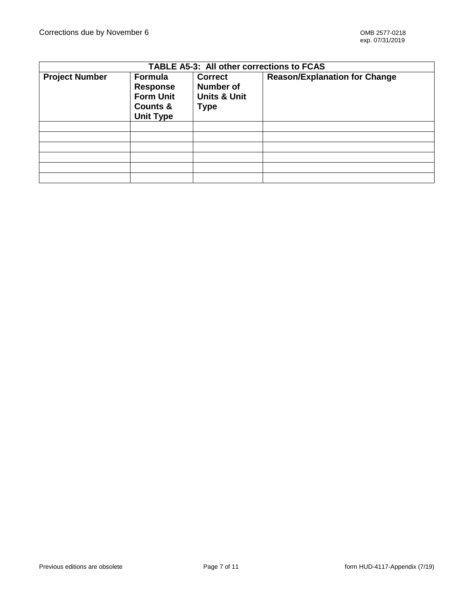| <b>TABLE A5-3: All other corrections to FCAS</b> |                                                                                       |                                                                |                                      |  |  |  |
|--------------------------------------------------|---------------------------------------------------------------------------------------|----------------------------------------------------------------|--------------------------------------|--|--|--|
| <b>Project Number</b>                            | <b>Formula</b><br><b>Response</b><br><b>Form Unit</b><br>Counts &<br><b>Unit Type</b> | <b>Correct</b><br>Number of<br><b>Units &amp; Unit</b><br>Type | <b>Reason/Explanation for Change</b> |  |  |  |
|                                                  |                                                                                       |                                                                |                                      |  |  |  |
|                                                  |                                                                                       |                                                                |                                      |  |  |  |
|                                                  |                                                                                       |                                                                |                                      |  |  |  |
|                                                  |                                                                                       |                                                                |                                      |  |  |  |
|                                                  |                                                                                       |                                                                |                                      |  |  |  |
|                                                  |                                                                                       |                                                                |                                      |  |  |  |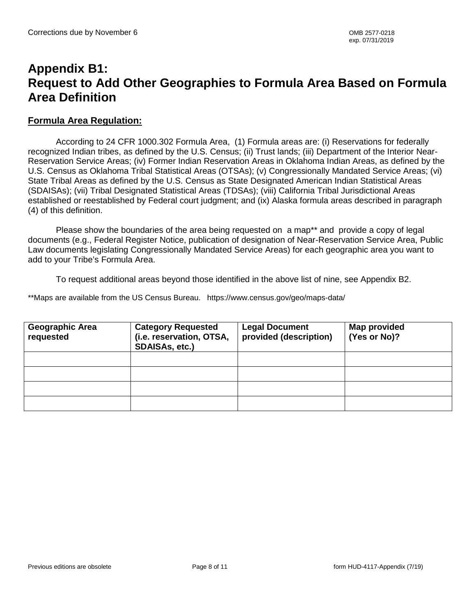## **Appendix B1: Request to Add Other Geographies to Formula Area Based on Formula Area Definition**

#### **Formula Area Regulation:**

According to 24 CFR 1000.302 Formula Area, (1) Formula areas are: (i) Reservations for federally recognized Indian tribes, as defined by the U.S. Census; (ii) Trust lands; (iii) Department of the Interior Near-Reservation Service Areas; (iv) Former Indian Reservation Areas in Oklahoma Indian Areas, as defined by the U.S. Census as Oklahoma Tribal Statistical Areas (OTSAs); (v) Congressionally Mandated Service Areas; (vi) State Tribal Areas as defined by the U.S. Census as State Designated American Indian Statistical Areas (SDAISAs); (vii) Tribal Designated Statistical Areas (TDSAs); (viii) California Tribal Jurisdictional Areas established or reestablished by Federal court judgment; and (ix) Alaska formula areas described in paragraph (4) of this definition.

Please show the boundaries of the area being requested on a map\*\* and provide a copy of legal documents (e.g., Federal Register Notice, publication of designation of Near-Reservation Service Area, Public Law documents legislating Congressionally Mandated Service Areas) for each geographic area you want to add to your Tribe's Formula Area.

To request additional areas beyond those identified in the above list of nine, see Appendix B2.

\*\*Maps are available from the US Census Bureau. https://www.census.gov/geo/maps-data/

| <b>Geographic Area</b><br>requested | <b>Category Requested</b><br>(i.e. reservation, OTSA,<br>SDAISAs, etc.) | <b>Legal Document</b><br>provided (description) | Map provided<br>(Yes or No)? |
|-------------------------------------|-------------------------------------------------------------------------|-------------------------------------------------|------------------------------|
|                                     |                                                                         |                                                 |                              |
|                                     |                                                                         |                                                 |                              |
|                                     |                                                                         |                                                 |                              |
|                                     |                                                                         |                                                 |                              |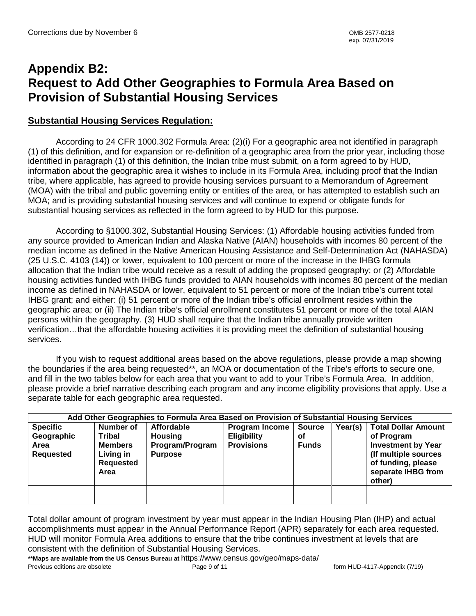# **Appendix B2: Request to Add Other Geographies to Formula Area Based on Provision of Substantial Housing Services**

### **Substantial Housing Services Regulation:**

According to 24 CFR 1000.302 Formula Area: (2)(i) For a geographic area not identified in paragraph (1) of this definition, and for expansion or re-definition of a geographic area from the prior year, including those identified in paragraph (1) of this definition, the Indian tribe must submit, on a form agreed to by HUD, information about the geographic area it wishes to include in its Formula Area, including proof that the Indian tribe, where applicable, has agreed to provide housing services pursuant to a Memorandum of Agreement (MOA) with the tribal and public governing entity or entities of the area, or has attempted to establish such an MOA; and is providing substantial housing services and will continue to expend or obligate funds for substantial housing services as reflected in the form agreed to by HUD for this purpose.

According to §1000.302, Substantial Housing Services: (1) Affordable housing activities funded from any source provided to American Indian and Alaska Native (AIAN) households with incomes 80 percent of the median income as defined in the Native American Housing Assistance and Self-Determination Act (NAHASDA) (25 U.S.C. 4103 (14)) or lower, equivalent to 100 percent or more of the increase in the IHBG formula allocation that the Indian tribe would receive as a result of adding the proposed geography; or (2) Affordable housing activities funded with IHBG funds provided to AIAN households with incomes 80 percent of the median income as defined in NAHASDA or lower, equivalent to 51 percent or more of the Indian tribe's current total IHBG grant; and either: (i) 51 percent or more of the Indian tribe's official enrollment resides within the geographic area; or (ii) The Indian tribe's official enrollment constitutes 51 percent or more of the total AIAN persons within the geography. (3) HUD shall require that the Indian tribe annually provide written verification…that the affordable housing activities it is providing meet the definition of substantial housing services.

If you wish to request additional areas based on the above regulations, please provide a map showing the boundaries if the area being requested\*\*, an MOA or documentation of the Tribe's efforts to secure one, and fill in the two tables below for each area that you want to add to your Tribe's Formula Area. In addition, please provide a brief narrative describing each program and any income eligibility provisions that apply. Use a separate table for each geographic area requested.

|                                                           | Add Other Geographies to Formula Area Based on Provision of Substantial Housing Services |                                                                   |                                                                  |                                     |         |                                                                                                                                                     |  |
|-----------------------------------------------------------|------------------------------------------------------------------------------------------|-------------------------------------------------------------------|------------------------------------------------------------------|-------------------------------------|---------|-----------------------------------------------------------------------------------------------------------------------------------------------------|--|
| <b>Specific</b><br>Geographic<br>Area<br><b>Requested</b> | Number of<br>Tribal<br><b>Members</b><br>Living in<br><b>Requested</b><br>Area           | Affordable<br><b>Housing</b><br>Program/Program<br><b>Purpose</b> | <b>Program Income</b><br><b>Eligibility</b><br><b>Provisions</b> | <b>Source</b><br>οf<br><b>Funds</b> | Year(s) | <b>Total Dollar Amount</b><br>of Program<br><b>Investment by Year</b><br>(If multiple sources<br>of funding, please<br>separate IHBG from<br>other) |  |
|                                                           |                                                                                          |                                                                   |                                                                  |                                     |         |                                                                                                                                                     |  |
|                                                           |                                                                                          |                                                                   |                                                                  |                                     |         |                                                                                                                                                     |  |

Total dollar amount of program investment by year must appear in the Indian Housing Plan (IHP) and actual accomplishments must appear in the Annual Performance Report (APR) separately for each area requested. HUD will monitor Formula Area additions to ensure that the tribe continues investment at levels that are consistent with the definition of Substantial Housing Services.

Previous editions are obsolete **Page 9** of 11 **For a set of the COVID-4117-Appendix (7/19)** Previous editions are obsolete **\*\*Maps are available from the US Census Bureau at** https://www.census.gov/geo/maps-data/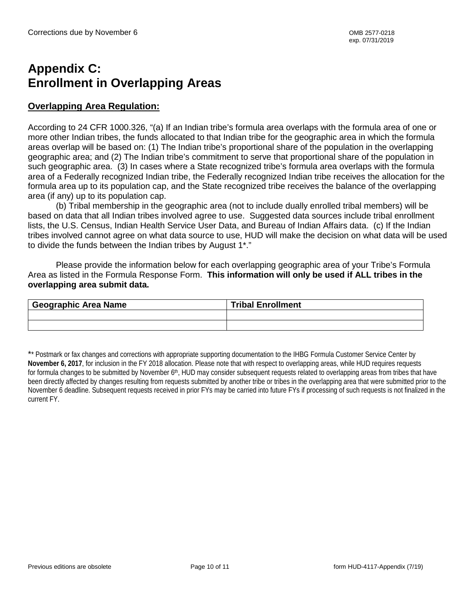# **Appendix C: Enrollment in Overlapping Areas**

### **Overlapping Area Regulation:**

According to 24 CFR 1000.326, "(a) If an Indian tribe's formula area overlaps with the formula area of one or more other Indian tribes, the funds allocated to that Indian tribe for the geographic area in which the formula areas overlap will be based on: (1) The Indian tribe's proportional share of the population in the overlapping geographic area; and (2) The Indian tribe's commitment to serve that proportional share of the population in such geographic area. (3) In cases where a State recognized tribe's formula area overlaps with the formula area of a Federally recognized Indian tribe, the Federally recognized Indian tribe receives the allocation for the formula area up to its population cap, and the State recognized tribe receives the balance of the overlapping area (if any) up to its population cap.

(b) Tribal membership in the geographic area (not to include dually enrolled tribal members) will be based on data that all Indian tribes involved agree to use. Suggested data sources include tribal enrollment lists, the U.S. Census, Indian Health Service User Data, and Bureau of Indian Affairs data. (c) If the Indian tribes involved cannot agree on what data source to use, HUD will make the decision on what data will be used to divide the funds between the Indian tribes by August 1\*."

Please provide the information below for each overlapping geographic area of your Tribe's Formula Area as listed in the Formula Response Form. **This information will only be used if ALL tribes in the overlapping area submit data.**

| Geographic Area Name | <b>Tribal Enrollment</b> |
|----------------------|--------------------------|
|                      |                          |
|                      |                          |

\*\* Postmark or fax changes and corrections with appropriate supporting documentation to the IHBG Formula Customer Service Center by **November 6, 2017**, for inclusion in the FY 2018 allocation. Please note that with respect to overlapping areas, while HUD requires requests for formula changes to be submitted by November 6<sup>th</sup>, HUD may consider subsequent requests related to overlapping areas from tribes that have been directly affected by changes resulting from requests submitted by another tribe or tribes in the overlapping area that were submitted prior to the November 6 deadline. Subsequent requests received in prior FYs may be carried into future FYs if processing of such requests is not finalized in the current FY.